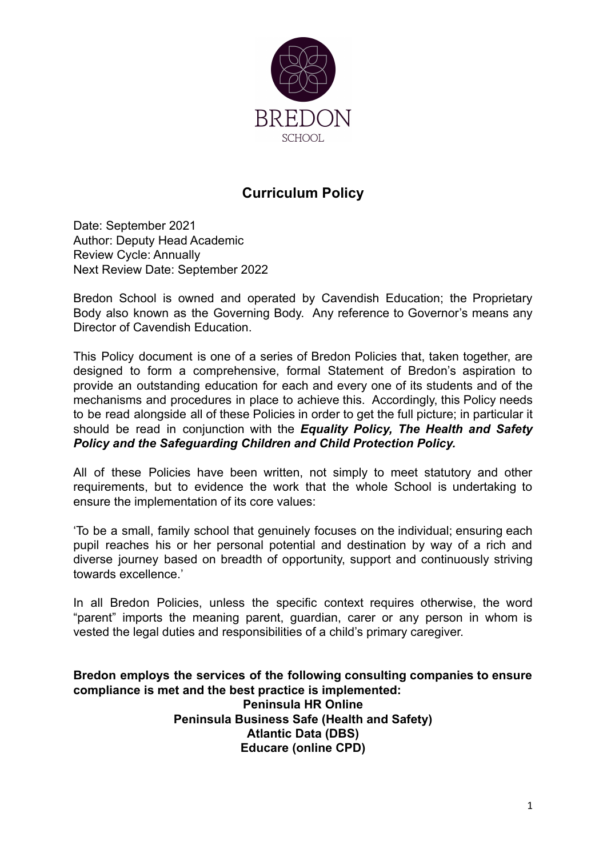

## **Curriculum Policy**

Date: September 2021 Author: Deputy Head Academic Review Cycle: Annually Next Review Date: September 2022

Bredon School is owned and operated by Cavendish Education; the Proprietary Body also known as the Governing Body. Any reference to Governor's means any Director of Cavendish Education.

This Policy document is one of a series of Bredon Policies that, taken together, are designed to form a comprehensive, formal Statement of Bredon's aspiration to provide an outstanding education for each and every one of its students and of the mechanisms and procedures in place to achieve this. Accordingly, this Policy needs to be read alongside all of these Policies in order to get the full picture; in particular it should be read in conjunction with the *Equality Policy, The Health and Safety Policy and the Safeguarding Children and Child Protection Policy.*

All of these Policies have been written, not simply to meet statutory and other requirements, but to evidence the work that the whole School is undertaking to ensure the implementation of its core values:

'To be a small, family school that genuinely focuses on the individual; ensuring each pupil reaches his or her personal potential and destination by way of a rich and diverse journey based on breadth of opportunity, support and continuously striving towards excellence.'

In all Bredon Policies, unless the specific context requires otherwise, the word "parent" imports the meaning parent, guardian, carer or any person in whom is vested the legal duties and responsibilities of a child's primary caregiver.

#### **Bredon employs the services of the following consulting companies to ensure compliance is met and the best practice is implemented: Peninsula HR Online Peninsula Business Safe (Health and Safety) Atlantic Data (DBS) Educare (online CPD)**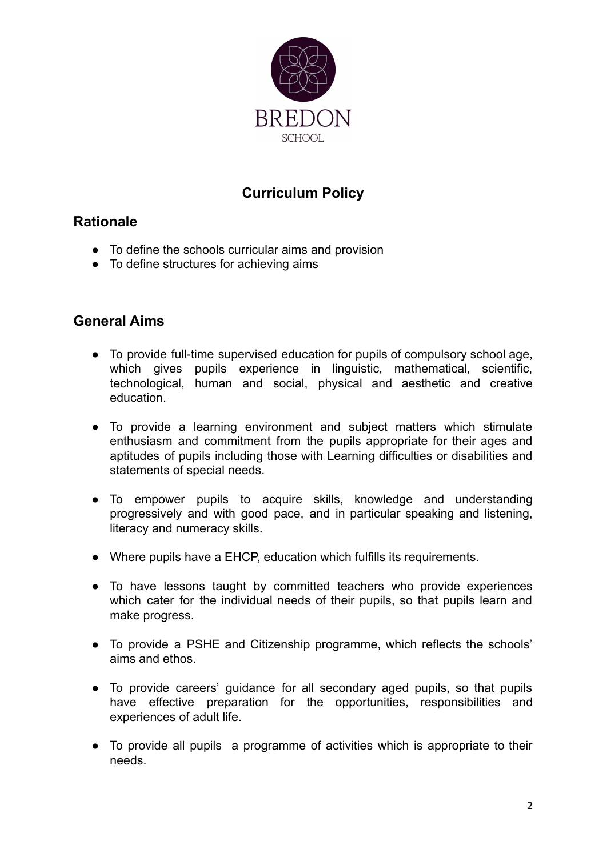

## **Curriculum Policy**

### **Rationale**

- To define the schools curricular aims and provision
- To define structures for achieving aims

### **General Aims**

- To provide full-time supervised education for pupils of compulsory school age, which gives pupils experience in linguistic, mathematical, scientific, technological, human and social, physical and aesthetic and creative education.
- To provide a learning environment and subject matters which stimulate enthusiasm and commitment from the pupils appropriate for their ages and aptitudes of pupils including those with Learning difficulties or disabilities and statements of special needs.
- To empower pupils to acquire skills, knowledge and understanding progressively and with good pace, and in particular speaking and listening, literacy and numeracy skills.
- Where pupils have a EHCP, education which fulfills its requirements.
- To have lessons taught by committed teachers who provide experiences which cater for the individual needs of their pupils, so that pupils learn and make progress.
- To provide a PSHE and Citizenship programme, which reflects the schools' aims and ethos.
- To provide careers' quidance for all secondary aged pupils, so that pupils have effective preparation for the opportunities, responsibilities and experiences of adult life.
- To provide all pupils a programme of activities which is appropriate to their needs.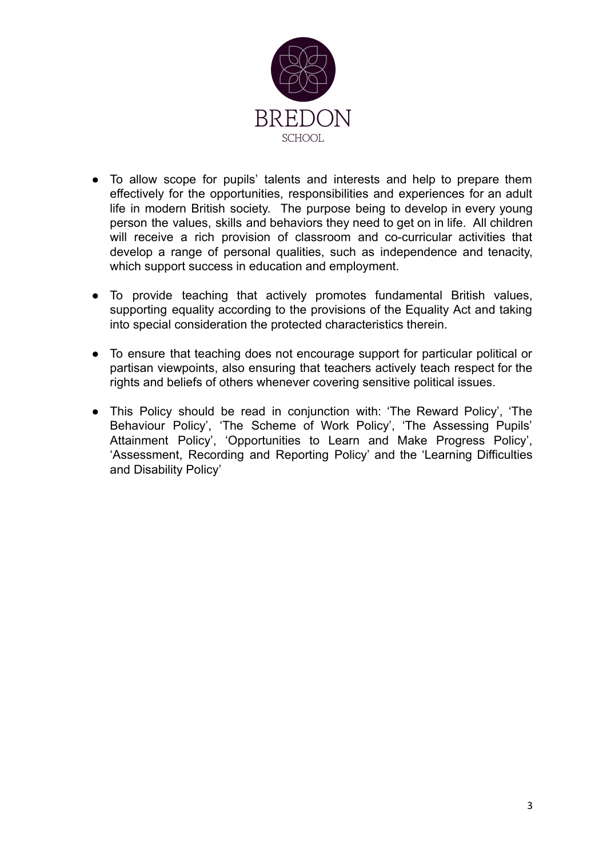

- To allow scope for pupils' talents and interests and help to prepare them effectively for the opportunities, responsibilities and experiences for an adult life in modern British society. The purpose being to develop in every young person the values, skills and behaviors they need to get on in life. All children will receive a rich provision of classroom and co-curricular activities that develop a range of personal qualities, such as independence and tenacity, which support success in education and employment.
- To provide teaching that actively promotes fundamental British values, supporting equality according to the provisions of the Equality Act and taking into special consideration the protected characteristics therein.
- To ensure that teaching does not encourage support for particular political or partisan viewpoints, also ensuring that teachers actively teach respect for the rights and beliefs of others whenever covering sensitive political issues.
- This Policy should be read in conjunction with: 'The Reward Policy', 'The Behaviour Policy', 'The Scheme of Work Policy', 'The Assessing Pupils' Attainment Policy', 'Opportunities to Learn and Make Progress Policy', 'Assessment, Recording and Reporting Policy' and the 'Learning Difficulties and Disability Policy'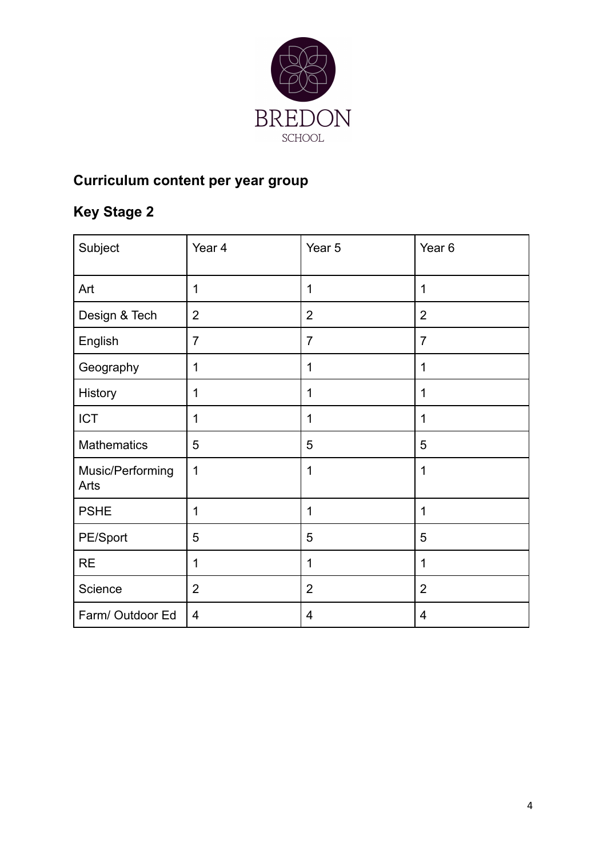

## **Curriculum content per year group**

# **Key Stage 2**

| Subject                  | Year 4         | Year 5         | Year <sub>6</sub> |
|--------------------------|----------------|----------------|-------------------|
| Art                      | 1              | $\mathbf{1}$   | 1                 |
| Design & Tech            | $\overline{2}$ | $\overline{2}$ | $\overline{2}$    |
| English                  | $\overline{7}$ | $\overline{7}$ | $\overline{7}$    |
| Geography                | 1              | 1              | 1                 |
| History                  | 1              | 1              | 1                 |
| ICT                      | 1              | 1              | 1                 |
| <b>Mathematics</b>       | 5              | 5              | 5                 |
| Music/Performing<br>Arts | 1              | 1              | 1                 |
| <b>PSHE</b>              | $\mathbf 1$    | 1              | 1                 |
| PE/Sport                 | 5              | 5              | 5                 |
| <b>RE</b>                | 1              | $\mathbf{1}$   | 1                 |
| Science                  | $\overline{2}$ | $\overline{2}$ | $\overline{2}$    |
| Farm/Outdoor Ed          | $\overline{4}$ | $\overline{4}$ | 4                 |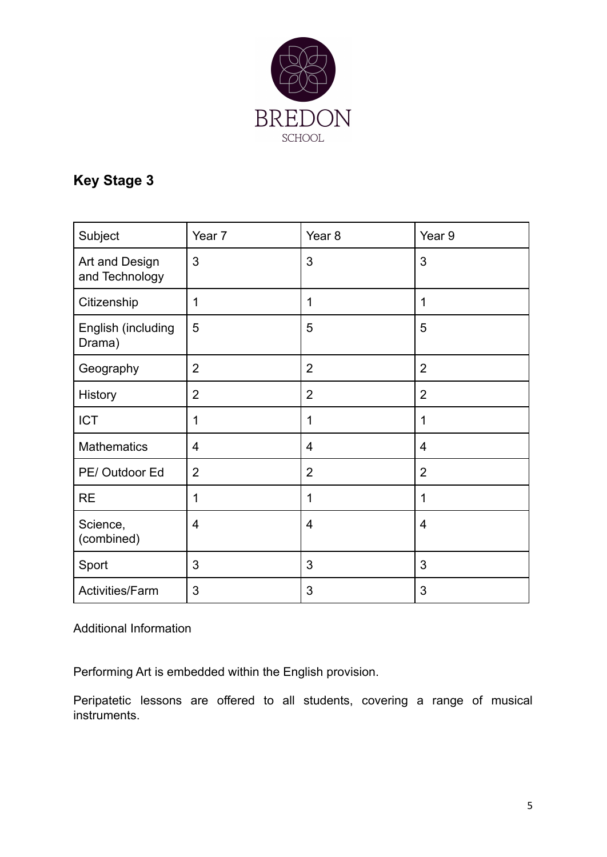

## **Key Stage 3**

| Subject                          | Year <sub>7</sub> | Year <sub>8</sub> | Year 9         |
|----------------------------------|-------------------|-------------------|----------------|
| Art and Design<br>and Technology | 3                 | 3                 | 3              |
| Citizenship                      | 1                 | $\mathbf{1}$      | 1              |
| English (including<br>Drama)     | 5                 | 5                 | 5              |
| Geography                        | $\overline{2}$    | $\overline{2}$    | $\overline{2}$ |
| <b>History</b>                   | $\overline{2}$    | $\overline{2}$    | $\overline{2}$ |
| <b>ICT</b>                       | 1                 | 1                 | 1              |
| <b>Mathematics</b>               | 4                 | 4                 | 4              |
| PE/Outdoor Ed                    | $\overline{2}$    | $\overline{2}$    | $\overline{2}$ |
| <b>RE</b>                        | 1                 | 1                 | 1              |
| Science,<br>(combined)           | 4                 | 4                 | 4              |
| Sport                            | 3                 | 3                 | 3              |
| Activities/Farm                  | 3                 | 3                 | 3              |

Additional Information

Performing Art is embedded within the English provision.

Peripatetic lessons are offered to all students, covering a range of musical instruments.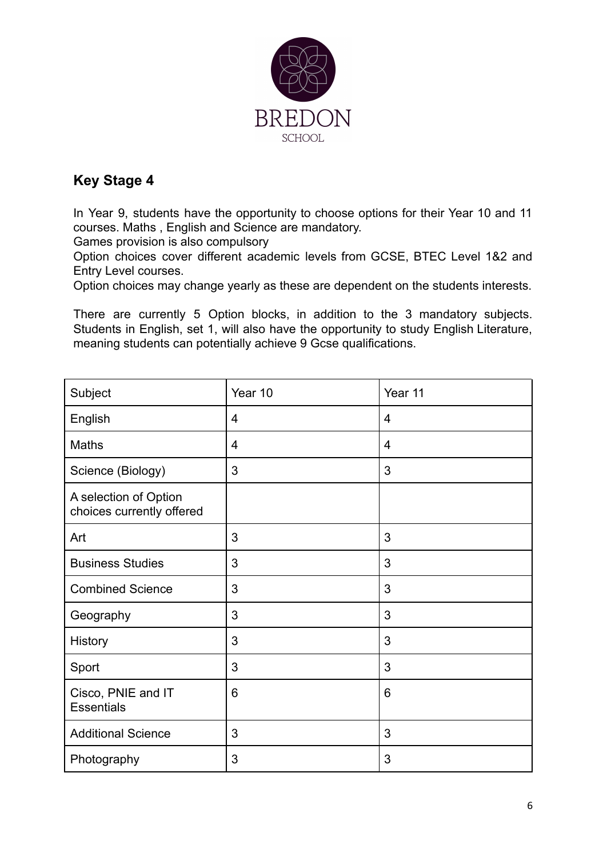

## **Key Stage 4**

In Year 9, students have the opportunity to choose options for their Year 10 and 11 courses. Maths , English and Science are mandatory.

Games provision is also compulsory

Option choices cover different academic levels from GCSE, BTEC Level 1&2 and Entry Level courses.

Option choices may change yearly as these are dependent on the students interests.

There are currently 5 Option blocks, in addition to the 3 mandatory subjects. Students in English, set 1, will also have the opportunity to study English Literature, meaning students can potentially achieve 9 Gcse qualifications.

| Subject                                            | Year 10        | Year 11 |
|----------------------------------------------------|----------------|---------|
| English                                            | $\overline{4}$ | 4       |
| Maths                                              | 4              | 4       |
| Science (Biology)                                  | 3              | 3       |
| A selection of Option<br>choices currently offered |                |         |
| Art                                                | 3              | 3       |
| <b>Business Studies</b>                            | 3              | 3       |
| <b>Combined Science</b>                            | 3              | 3       |
| Geography                                          | 3              | 3       |
| History                                            | 3              | 3       |
| Sport                                              | 3              | 3       |
| Cisco, PNIE and IT<br><b>Essentials</b>            | 6              | 6       |
| <b>Additional Science</b>                          | 3              | 3       |
| Photography                                        | 3              | 3       |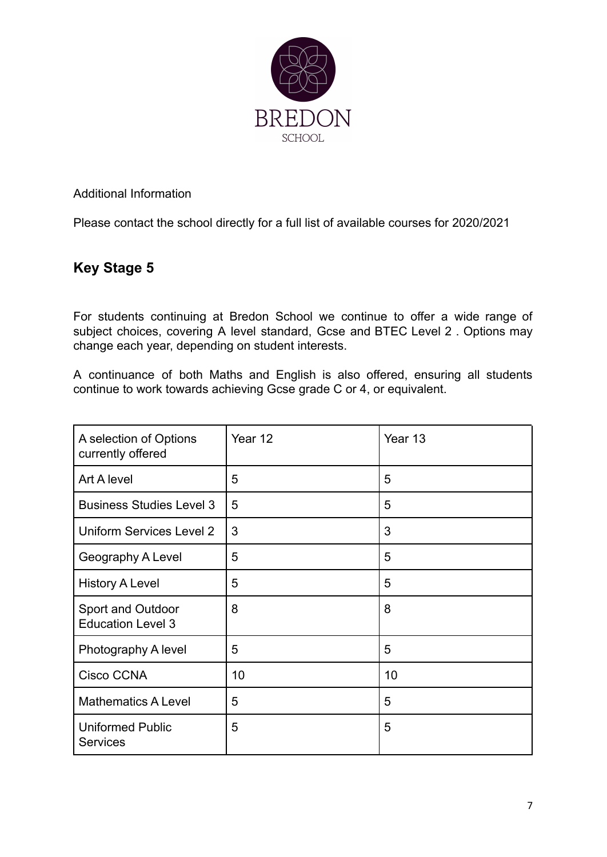

Additional Information

Please contact the school directly for a full list of available courses for 2020/2021

## **Key Stage 5**

For students continuing at Bredon School we continue to offer a wide range of subject choices, covering A level standard, Gcse and BTEC Level 2. Options may change each year, depending on student interests.

A continuance of both Maths and English is also offered, ensuring all students continue to work towards achieving Gcse grade C or 4, or equivalent.

| A selection of Options<br>currently offered   | Year 12 | Year 13 |
|-----------------------------------------------|---------|---------|
| Art A level                                   | 5       | 5       |
| <b>Business Studies Level 3</b>               | 5       | 5       |
| Uniform Services Level 2                      | 3       | 3       |
| Geography A Level                             | 5       | 5       |
| <b>History A Level</b>                        | 5       | 5       |
| Sport and Outdoor<br><b>Education Level 3</b> | 8       | 8       |
| Photography A level                           | 5       | 5       |
| <b>Cisco CCNA</b>                             | 10      | 10      |
| <b>Mathematics A Level</b>                    | 5       | 5       |
| <b>Uniformed Public</b><br><b>Services</b>    | 5       | 5       |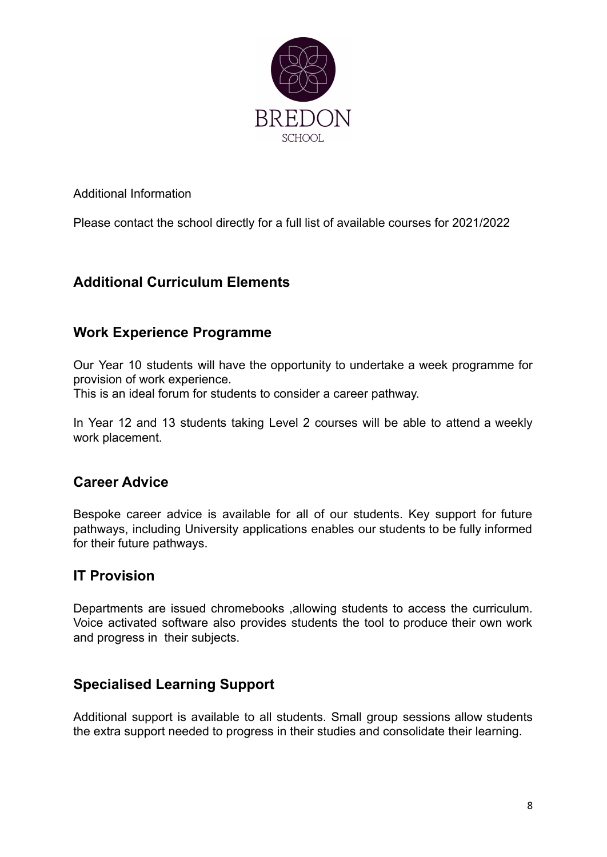

Additional Information

Please contact the school directly for a full list of available courses for 2021/2022

### **Additional Curriculum Elements**

#### **Work Experience Programme**

Our Year 10 students will have the opportunity to undertake a week programme for provision of work experience.

This is an ideal forum for students to consider a career pathway.

In Year 12 and 13 students taking Level 2 courses will be able to attend a weekly work placement.

#### **Career Advice**

Bespoke career advice is available for all of our students. Key support for future pathways, including University applications enables our students to be fully informed for their future pathways.

#### **IT Provision**

Departments are issued chromebooks ,allowing students to access the curriculum. Voice activated software also provides students the tool to produce their own work and progress in their subjects.

#### **Specialised Learning Support**

Additional support is available to all students. Small group sessions allow students the extra support needed to progress in their studies and consolidate their learning.